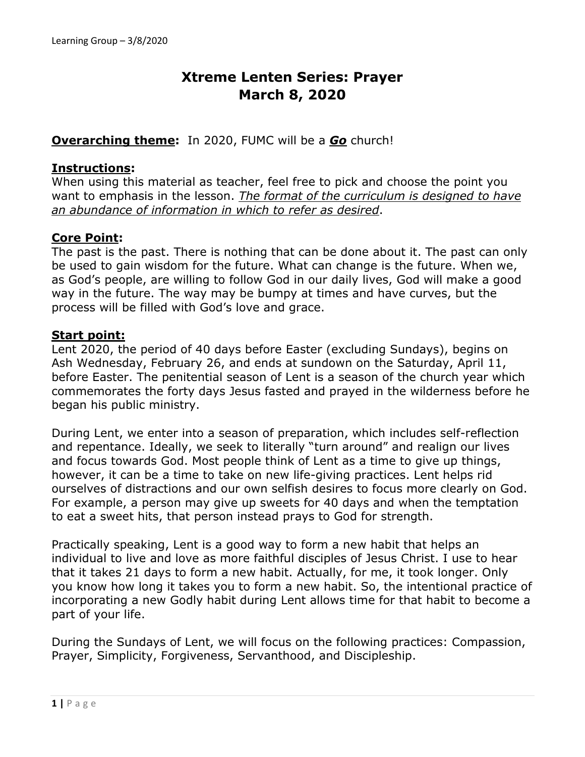# **Xtreme Lenten Series: Prayer March 8, 2020**

#### **Overarching theme:** In 2020, FUMC will be a *Go* church!

#### **Instructions:**

When using this material as teacher, feel free to pick and choose the point you want to emphasis in the lesson. *The format of the curriculum is designed to have an abundance of information in which to refer as desired*.

#### **Core Point:**

The past is the past. There is nothing that can be done about it. The past can only be used to gain wisdom for the future. What can change is the future. When we, as God's people, are willing to follow God in our daily lives, God will make a good way in the future. The way may be bumpy at times and have curves, but the process will be filled with God's love and grace.

#### **Start point:**

Lent 2020, the period of 40 days before Easter (excluding Sundays), begins on Ash Wednesday, February 26, and ends at sundown on the Saturday, April 11, before Easter. The penitential season of Lent is a season of the church year which commemorates the forty days Jesus fasted and prayed in the wilderness before he began his public ministry.

During Lent, we enter into a season of preparation, which includes self-reflection and repentance. Ideally, we seek to literally "turn around" and realign our lives and focus towards God. Most people think of Lent as a time to give up things, however, it can be a time to take on new life-giving practices. Lent helps rid ourselves of distractions and our own selfish desires to focus more clearly on God. For example, a person may give up sweets for 40 days and when the temptation to eat a sweet hits, that person instead prays to God for strength.

Practically speaking, Lent is a good way to form a new habit that helps an individual to live and love as more faithful disciples of Jesus Christ. I use to hear that it takes 21 days to form a new habit. Actually, for me, it took longer. Only you know how long it takes you to form a new habit. So, the intentional practice of incorporating a new Godly habit during Lent allows time for that habit to become a part of your life.

During the Sundays of Lent, we will focus on the following practices: Compassion, Prayer, Simplicity, Forgiveness, Servanthood, and Discipleship.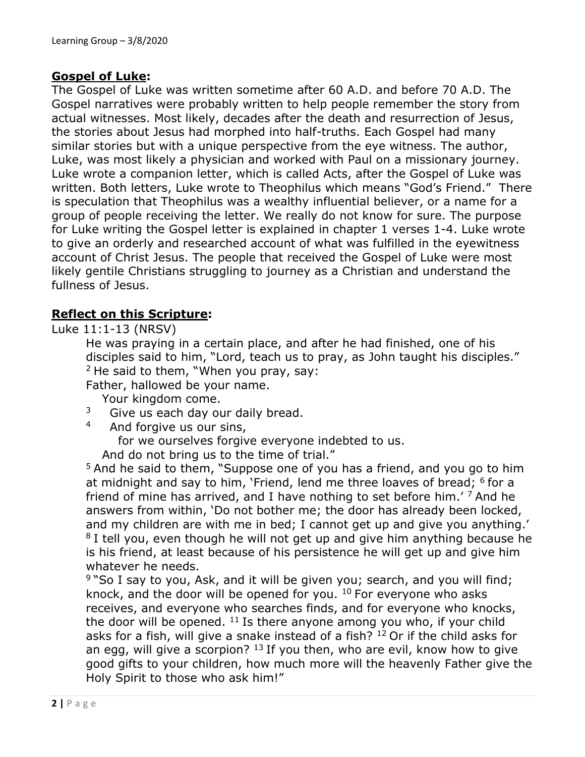#### **Gospel of Luke:**

The Gospel of Luke was written sometime after 60 A.D. and before 70 A.D. The Gospel narratives were probably written to help people remember the story from actual witnesses. Most likely, decades after the death and resurrection of Jesus, the stories about Jesus had morphed into half-truths. Each Gospel had many similar stories but with a unique perspective from the eye witness. The author, Luke, was most likely a physician and worked with Paul on a missionary journey. Luke wrote a companion letter, which is called Acts, after the Gospel of Luke was written. Both letters, Luke wrote to Theophilus which means "God's Friend." There is speculation that Theophilus was a wealthy influential believer, or a name for a group of people receiving the letter. We really do not know for sure. The purpose for Luke writing the Gospel letter is explained in chapter 1 verses 1-4. Luke wrote to give an orderly and researched account of what was fulfilled in the eyewitness account of Christ Jesus. The people that received the Gospel of Luke were most likely gentile Christians struggling to journey as a Christian and understand the fullness of Jesus.

#### **Reflect on this Scripture:**

Luke 11:1-13 (NRSV)

He was praying in a certain place, and after he had finished, one of his disciples said to him, "Lord, teach us to pray, as John taught his disciples."  $2$  He said to them, "When you pray, say:

Father, hallowed be your name.

Your kingdom come.

- $3^3$  Give us each day our daily bread.
- 4 And forgive us our sins,

for we ourselves forgive everyone indebted to us.

And do not bring us to the time of trial."

<sup>5</sup> And he said to them, "Suppose one of you has a friend, and you go to him at midnight and say to him, 'Friend, lend me three loaves of bread; <sup>6</sup> for a friend of mine has arrived, and I have nothing to set before him.<sup>'</sup> 7 And he answers from within, 'Do not bother me; the door has already been locked, and my children are with me in bed; I cannot get up and give you anything.'  $8$  I tell you, even though he will not get up and give him anything because he is his friend, at least because of his persistence he will get up and give him whatever he needs.

9 "So I say to you, Ask, and it will be given you; search, and you will find; knock, and the door will be opened for you. <sup>10</sup> For everyone who asks receives, and everyone who searches finds, and for everyone who knocks, the door will be opened.  $11$  Is there anyone among you who, if your child asks for a fish, will give a snake instead of a fish?  $12$  Or if the child asks for an egg, will give a scorpion?  $13$  If you then, who are evil, know how to give good gifts to your children, how much more will the heavenly Father give the Holy Spirit to those who ask him!"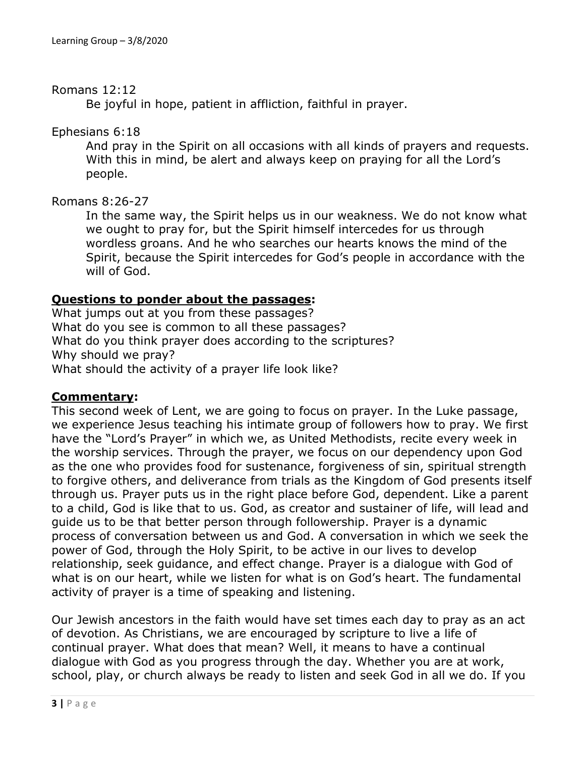#### Romans 12:12

Be joyful in hope, patient in affliction, faithful in prayer.

Ephesians 6:18

And pray in the Spirit on all occasions with all kinds of prayers and requests. With this in mind, be alert and always keep on praying for all the Lord's people.

#### Romans 8:26-27

In the same way, the Spirit helps us in our weakness. We do not know what we ought to pray for, but the Spirit himself intercedes for us through wordless groans. And he who searches our hearts knows the mind of the Spirit, because the Spirit intercedes for God's people in accordance with the will of God.

## **Questions to ponder about the passages:**

What jumps out at you from these passages? What do you see is common to all these passages? What do you think prayer does according to the scriptures? Why should we pray? What should the activity of a prayer life look like?

## **Commentary:**

This second week of Lent, we are going to focus on prayer. In the Luke passage, we experience Jesus teaching his intimate group of followers how to pray. We first have the "Lord's Prayer" in which we, as United Methodists, recite every week in the worship services. Through the prayer, we focus on our dependency upon God as the one who provides food for sustenance, forgiveness of sin, spiritual strength to forgive others, and deliverance from trials as the Kingdom of God presents itself through us. Prayer puts us in the right place before God, dependent. Like a parent to a child, God is like that to us. God, as creator and sustainer of life, will lead and guide us to be that better person through followership. Prayer is a dynamic process of conversation between us and God. A conversation in which we seek the power of God, through the Holy Spirit, to be active in our lives to develop relationship, seek guidance, and effect change. Prayer is a dialogue with God of what is on our heart, while we listen for what is on God's heart. The fundamental activity of prayer is a time of speaking and listening.

Our Jewish ancestors in the faith would have set times each day to pray as an act of devotion. As Christians, we are encouraged by scripture to live a life of continual prayer. What does that mean? Well, it means to have a continual dialogue with God as you progress through the day. Whether you are at work, school, play, or church always be ready to listen and seek God in all we do. If you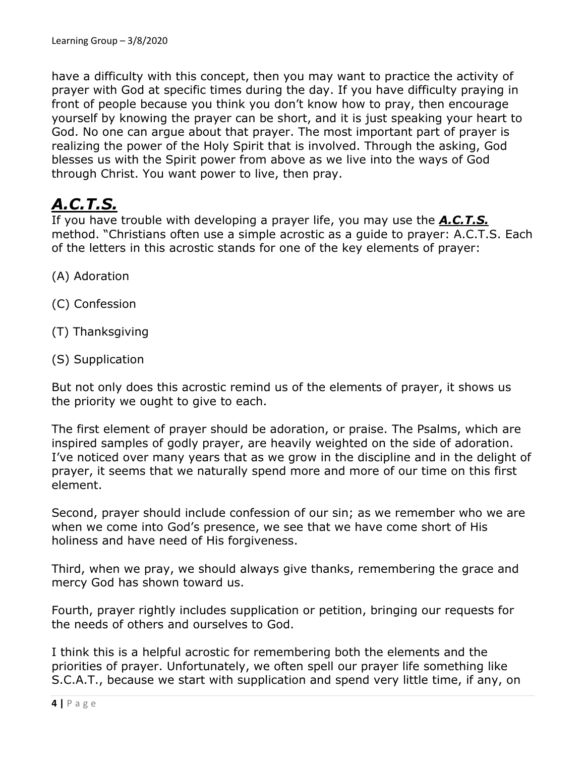have a difficulty with this concept, then you may want to practice the activity of prayer with God at specific times during the day. If you have difficulty praying in front of people because you think you don't know how to pray, then encourage yourself by knowing the prayer can be short, and it is just speaking your heart to God. No one can argue about that prayer. The most important part of prayer is realizing the power of the Holy Spirit that is involved. Through the asking, God blesses us with the Spirit power from above as we live into the ways of God through Christ. You want power to live, then pray.

# *A.C.T.S.*

If you have trouble with developing a prayer life, you may use the *A.C.T.S.* method. "Christians often use a simple acrostic as a guide to prayer: A.C.T.S. Each of the letters in this acrostic stands for one of the key elements of prayer:

- (A) Adoration
- (C) Confession
- (T) Thanksgiving
- (S) Supplication

But not only does this acrostic remind us of the elements of prayer, it shows us the priority we ought to give to each.

The first element of prayer should be adoration, or praise. The Psalms, which are inspired samples of godly prayer, are heavily weighted on the side of adoration. I've noticed over many years that as we grow in the discipline and in the delight of prayer, it seems that we naturally spend more and more of our time on this first element.

Second, prayer should include confession of our sin; as we remember who we are when we come into God's presence, we see that we have come short of His holiness and have need of His forgiveness.

Third, when we pray, we should always give thanks, remembering the grace and mercy God has shown toward us.

Fourth, prayer rightly includes supplication or petition, bringing our requests for the needs of others and ourselves to God.

I think this is a helpful acrostic for remembering both the elements and the priorities of prayer. Unfortunately, we often spell our prayer life something like S.C.A.T., because we start with supplication and spend very little time, if any, on